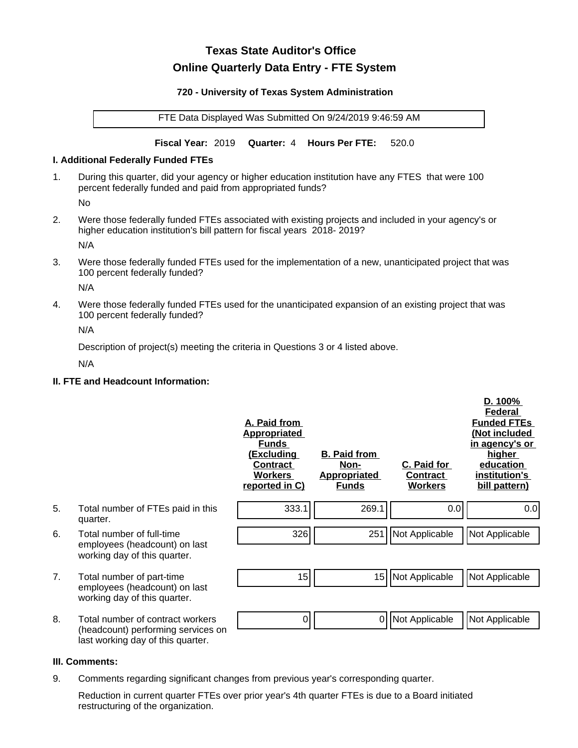# **Texas State Auditor's Office Online Quarterly Data Entry - FTE System**

#### **720 - University of Texas System Administration**

FTE Data Displayed Was Submitted On 9/24/2019 9:46:59 AM

**Fiscal Year:** 2019 **Quarter:** 4 **Hours Per FTE:** 520.0

### **I. Additional Federally Funded FTEs**

1. During this quarter, did your agency or higher education institution have any FTES that were 100 percent federally funded and paid from appropriated funds?

No

2. Were those federally funded FTEs associated with existing projects and included in your agency's or higher education institution's bill pattern for fiscal years 2018- 2019?

N/A

3. Were those federally funded FTEs used for the implementation of a new, unanticipated project that was 100 percent federally funded?

N/A

4. Were those federally funded FTEs used for the unanticipated expansion of an existing project that was 100 percent federally funded?

N/A

Description of project(s) meeting the criteria in Questions 3 or 4 listed above.

N/A

#### **II. FTE and Headcount Information:**

|    |                                                                                                             | A. Paid from<br><u>Appropriated</u><br><b>Funds</b><br><u>(Excluding</u><br><b>Contract</b><br><b>Workers</b><br>reported in C) | <b>B. Paid from</b><br>Non-<br><b>Appropriated</b><br><b>Funds</b> | C. Paid for<br>Contract<br><b>Workers</b> | D. 100%<br>Federal<br><b>Funded FTEs</b><br>(Not included<br>in agency's or<br>higher<br>education<br>institution's<br>bill pattern) |
|----|-------------------------------------------------------------------------------------------------------------|---------------------------------------------------------------------------------------------------------------------------------|--------------------------------------------------------------------|-------------------------------------------|--------------------------------------------------------------------------------------------------------------------------------------|
| 5. | Total number of FTEs paid in this<br>quarter.                                                               | 333.1                                                                                                                           | 269.1                                                              | 0.0                                       | 0.0                                                                                                                                  |
| 6. | Total number of full-time<br>employees (headcount) on last<br>working day of this quarter.                  | 326                                                                                                                             | 251                                                                | Not Applicable                            | Not Applicable                                                                                                                       |
| 7. | Total number of part-time<br>employees (headcount) on last<br>working day of this quarter.                  | 15                                                                                                                              | 15                                                                 | Not Applicable                            | Not Applicable                                                                                                                       |
| 8. | Total number of contract workers<br>(headcount) performing services on<br>last working day of this quarter. | 0                                                                                                                               | 0                                                                  | Not Applicable                            | Not Applicable                                                                                                                       |

## **III. Comments:**

9. Comments regarding significant changes from previous year's corresponding quarter.

Reduction in current quarter FTEs over prior year's 4th quarter FTEs is due to a Board initiated restructuring of the organization.